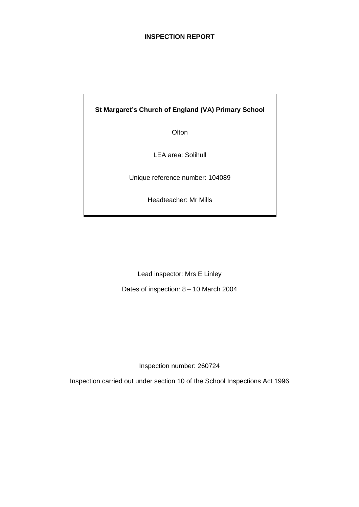# **INSPECTION REPORT**

# **St Margaret's Church of England (VA) Primary School**

**Olton** 

LEA area: Solihull

Unique reference number: 104089

Headteacher: Mr Mills

Lead inspector: Mrs E Linley

Dates of inspection: 8 – 10 March 2004

Inspection number: 260724

Inspection carried out under section 10 of the School Inspections Act 1996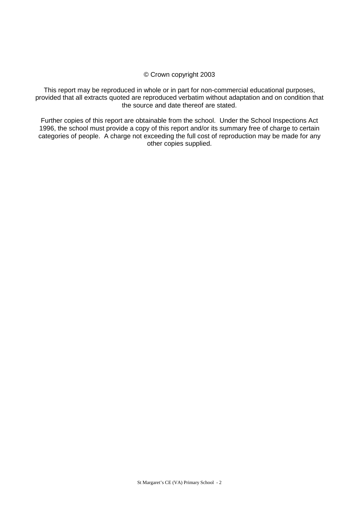#### © Crown copyright 2003

This report may be reproduced in whole or in part for non-commercial educational purposes, provided that all extracts quoted are reproduced verbatim without adaptation and on condition that the source and date thereof are stated.

Further copies of this report are obtainable from the school. Under the School Inspections Act 1996, the school must provide a copy of this report and/or its summary free of charge to certain categories of people. A charge not exceeding the full cost of reproduction may be made for any other copies supplied.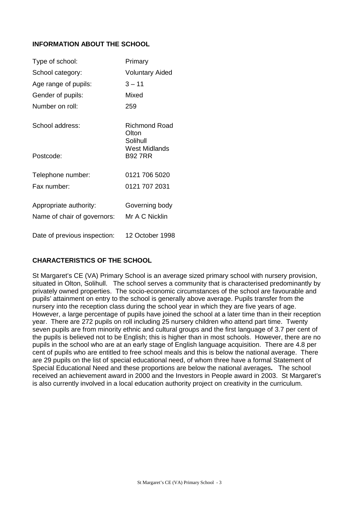# **INFORMATION ABOUT THE SCHOOL**

| Type of school:              | Primary                                             |
|------------------------------|-----------------------------------------------------|
| School category:             | <b>Voluntary Aided</b>                              |
| Age range of pupils:         | $3 - 11$                                            |
| Gender of pupils:            | Mixed                                               |
| Number on roll:              | 259                                                 |
| School address:              | Richmond Road<br>Olton<br>Solihull<br>West Midlands |
| Postcode:                    | B92 7RR                                             |
| Telephone number:            | 0121 706 5020                                       |
| Fax number:                  | 0121 707 2031                                       |
| Appropriate authority:       | Governing body                                      |
| Name of chair of governors:  | Mr A C Nicklin                                      |
| Date of previous inspection: | 12 October 1998                                     |

# **CHARACTERISTICS OF THE SCHOOL**

St Margaret's CE (VA) Primary School is an average sized primary school with nursery provision, situated in Olton, Solihull. The school serves a community that is characterised predominantly by privately owned properties. The socio-economic circumstances of the school are favourable and pupils' attainment on entry to the school is generally above average. Pupils transfer from the nursery into the reception class during the school year in which they are five years of age. However, a large percentage of pupils have joined the school at a later time than in their reception year. There are 272 pupils on roll including 25 nursery children who attend part time. Twenty seven pupils are from minority ethnic and cultural groups and the first language of 3.7 per cent of the pupils is believed not to be English; this is higher than in most schools. However, there are no pupils in the school who are at an early stage of English language acquisition. There are 4.8 per cent of pupils who are entitled to free school meals and this is below the national average. There are 29 pupils on the list of special educational need, of whom three have a formal Statement of Special Educational Need and these proportions are below the national averages**.** The school received an achievement award in 2000 and the Investors in People award in 2003. St Margaret's is also currently involved in a local education authority project on creativity in the curriculum.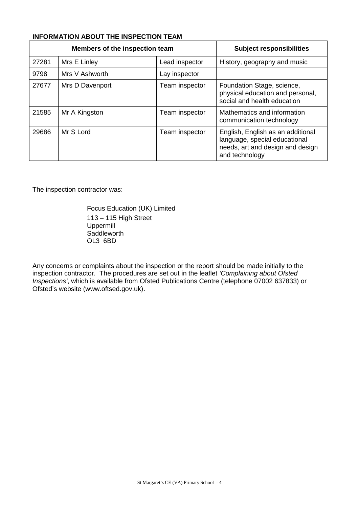# **INFORMATION ABOUT THE INSPECTION TEAM**

| Members of the inspection team |                 |                | <b>Subject responsibilities</b>                                                                                          |
|--------------------------------|-----------------|----------------|--------------------------------------------------------------------------------------------------------------------------|
| 27281                          | Mrs E Linley    | Lead inspector | History, geography and music                                                                                             |
| 9798                           | Mrs V Ashworth  | Lay inspector  |                                                                                                                          |
| 27677                          | Mrs D Davenport | Team inspector | Foundation Stage, science,<br>physical education and personal,<br>social and health education                            |
| 21585                          | Mr A Kingston   | Team inspector | Mathematics and information<br>communication technology                                                                  |
| 29686                          | Mr S Lord       | Team inspector | English, English as an additional<br>language, special educational<br>needs, art and design and design<br>and technology |

The inspection contractor was:

Focus Education (UK) Limited 113 – 115 High Street Uppermill **Saddleworth** OL3 6BD

Any concerns or complaints about the inspection or the report should be made initially to the inspection contractor. The procedures are set out in the leaflet *'Complaining about Ofsted Inspections'*, which is available from Ofsted Publications Centre (telephone 07002 637833) or Ofsted's website (www.oftsed.gov.uk).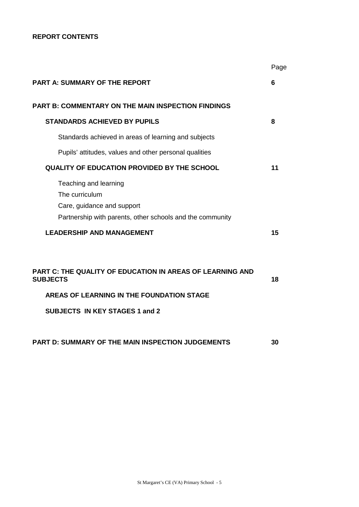# **REPORT CONTENTS**

|                                                                                                                                                                           | Page |
|---------------------------------------------------------------------------------------------------------------------------------------------------------------------------|------|
| <b>PART A: SUMMARY OF THE REPORT</b>                                                                                                                                      | 6    |
| <b>PART B: COMMENTARY ON THE MAIN INSPECTION FINDINGS</b>                                                                                                                 |      |
| <b>STANDARDS ACHIEVED BY PUPILS</b>                                                                                                                                       | 8    |
| Standards achieved in areas of learning and subjects                                                                                                                      |      |
| Pupils' attitudes, values and other personal qualities                                                                                                                    |      |
| <b>QUALITY OF EDUCATION PROVIDED BY THE SCHOOL</b>                                                                                                                        | 11   |
| Teaching and learning<br>The curriculum<br>Care, guidance and support<br>Partnership with parents, other schools and the community                                        |      |
| <b>LEADERSHIP AND MANAGEMENT</b>                                                                                                                                          | 15   |
| <b>PART C: THE QUALITY OF EDUCATION IN AREAS OF LEARNING AND</b><br><b>SUBJECTS</b><br>AREAS OF LEARNING IN THE FOUNDATION STAGE<br><b>SUBJECTS IN KEY STAGES 1 and 2</b> | 18   |
| <b>PART D: SUMMARY OF THE MAIN INSPECTION JUDGEMENTS</b>                                                                                                                  | 30   |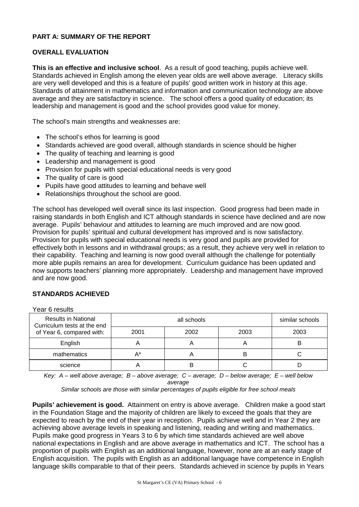# **PART A: SUMMARY OF THE REPORT**

# **OVERALL EVALUATION**

**This is an effective and inclusive school**. As a result of good teaching, pupils achieve well. Standards achieved in English among the eleven year olds are well above average. Literacy skills are very well developed and this is a feature of pupils' good written work in history at this age. Standards of attainment in mathematics and information and communication technology are above average and they are satisfactory in science. The school offers a good quality of education; its leadership and management is good and the school provides good value for money.

The school's main strengths and weaknesses are:

- The school's ethos for learning is good
- Standards achieved are good overall, although standards in science should be higher
- The quality of teaching and learning is good
- Leadership and management is good
- Provision for pupils with special educational needs is very good
- The quality of care is good
- Pupils have good attitudes to learning and behave well
- Relationships throughout the school are good.

The school has developed well overall since its last inspection. Good progress had been made in raising standards in both English and ICT although standards in science have declined and are now average. Pupils' behaviour and attitudes to learning are much improved and are now good. Provision for pupils' spiritual and cultural development has improved and is now satisfactory. Provision for pupils with special educational needs is very good and pupils are provided for effectively both in lessons and in withdrawal groups; as a result, they achieve very well in relation to their capability. Teaching and learning is now good overall although the challenge for potentially more able pupils remains an area for development. Curriculum guidance has been updated and now supports teachers' planning more appropriately. Leadership and management have improved and are now good.

# **STANDARDS ACHIEVED**

| Year 6 results                                            |      |                 |      |      |  |  |  |
|-----------------------------------------------------------|------|-----------------|------|------|--|--|--|
| <b>Results in National</b><br>Curriculum tests at the end |      | similar schools |      |      |  |  |  |
| of Year 6, compared with:                                 | 2001 | 2002            | 2003 | 2003 |  |  |  |
| English                                                   |      | $\mathsf{H}$    | A    | B    |  |  |  |
| mathematics                                               | А*   | H               | в    |      |  |  |  |
| science                                                   |      | В               |      |      |  |  |  |

*Key: A – well above average; B – above average; C – average; D – below average; E – well below average*

*Similar schools are those with similar percentages of pupils eligible for free school meals*

**Pupils' achievement is good.** Attainment on entry is above average. Children make a good start in the Foundation Stage and the majority of children are likely to exceed the goals that they are expected to reach by the end of their year in reception. Pupils achieve well and in Year 2 they are achieving above average levels in speaking and listening, reading and writing and mathematics. Pupils make good progress in Years 3 to 6 by which time standards achieved are well above national expectations in English and are above average in mathematics and ICT. The school has a proportion of pupils with English as an additional language, however, none are at an early stage of English acquisition. The pupils with English as an additional language have competence in English language skills comparable to that of their peers. Standards achieved in science by pupils in Years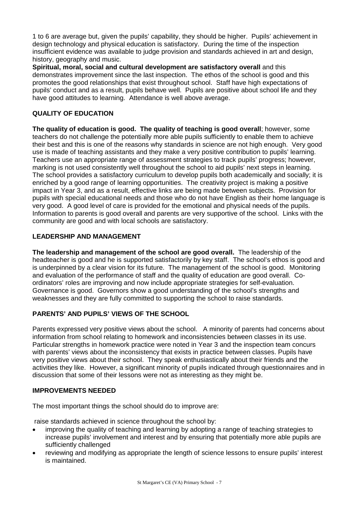1 to 6 are average but, given the pupils' capability, they should be higher. Pupils' achievement in design technology and physical education is satisfactory. During the time of the inspection insufficient evidence was available to judge provision and standards achieved in art and design, history, geography and music.

**Spiritual, moral, social and cultural development are satisfactory overall** and this demonstrates improvement since the last inspection. The ethos of the school is good and this promotes the good relationships that exist throughout school. Staff have high expectations of pupils' conduct and as a result, pupils behave well. Pupils are positive about school life and they have good attitudes to learning. Attendance is well above average.

# **QUALITY OF EDUCATION**

**The quality of education is good. The quality of teaching is good overall**; however, some teachers do not challenge the potentially more able pupils sufficiently to enable them to achieve their best and this is one of the reasons why standards in science are not high enough. Very good use is made of teaching assistants and they make a very positive contribution to pupils' learning. Teachers use an appropriate range of assessment strategies to track pupils' progress; however, marking is not used consistently well throughout the school to aid pupils' next steps in learning. The school provides a satisfactory curriculum to develop pupils both academically and socially; it is enriched by a good range of learning opportunities. The creativity project is making a positive impact in Year 3, and as a result, effective links are being made between subjects. Provision for pupils with special educational needs and those who do not have English as their home language is very good. A good level of care is provided for the emotional and physical needs of the pupils. Information to parents is good overall and parents are very supportive of the school. Links with the community are good and with local schools are satisfactory.

# **LEADERSHIP AND MANAGEMENT**

**The leadership and management of the school are good overall.** The leadership of the headteacher is good and he is supported satisfactorily by key staff. The school's ethos is good and is underpinned by a clear vision for its future. The management of the school is good. Monitoring and evaluation of the performance of staff and the quality of education are good overall. Coordinators' roles are improving and now include appropriate strategies for self-evaluation. Governance is good. Governors show a good understanding of the school's strengths and weaknesses and they are fully committed to supporting the school to raise standards.

# **PARENTS' AND PUPILS' VIEWS OF THE SCHOOL**

Parents expressed very positive views about the school. A minority of parents had concerns about information from school relating to homework and inconsistencies between classes in its use. Particular strengths in homework practice were noted in Year 3 and the inspection team concurs with parents' views about the inconsistency that exists in practice between classes. Pupils have very positive views about their school. They speak enthusiastically about their friends and the activities they like. However, a significant minority of pupils indicated through questionnaires and in discussion that some of their lessons were not as interesting as they might be.

# **IMPROVEMENTS NEEDED**

The most important things the school should do to improve are:

raise standards achieved in science throughout the school by:

- improving the quality of teaching and learning by adopting a range of teaching strategies to increase pupils' involvement and interest and by ensuring that potentially more able pupils are sufficiently challenged
- reviewing and modifying as appropriate the length of science lessons to ensure pupils' interest is maintained.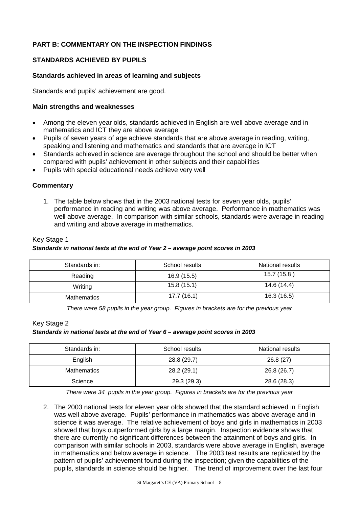# **PART B: COMMENTARY ON THE INSPECTION FINDINGS**

# **STANDARDS ACHIEVED BY PUPILS**

# **Standards achieved in areas of learning and subjects**

Standards and pupils' achievement are good.

#### **Main strengths and weaknesses**

- Among the eleven year olds, standards achieved in English are well above average and in mathematics and ICT they are above average
- Pupils of seven years of age achieve standards that are above average in reading, writing, speaking and listening and mathematics and standards that are average in ICT
- Standards achieved in science are average throughout the school and should be better when compared with pupils' achievement in other subjects and their capabilities
- Pupils with special educational needs achieve very well

# **Commentary**

1. The table below shows that in the 2003 national tests for seven year olds, pupils' performance in reading and writing was above average. Performance in mathematics was well above average. In comparison with similar schools, standards were average in reading and writing and above average in mathematics.

#### Key Stage 1

#### *Standards in national tests at the end of Year 2 – average point scores in 2003*

| Standards in: | School results | National results |
|---------------|----------------|------------------|
| Reading       | 16.9(15.5)     | 15.7(15.8)       |
| Writing       | 15.8(15.1)     | 14.6 (14.4)      |
| Mathematics   | 17.7(16.1)     | 16.3(16.5)       |

*There were 58 pupils in the year group. Figures in brackets are for the previous year* 

#### Key Stage 2

#### *Standards in national tests at the end of Year 6 – average point scores in 2003*

| Standards in: | School results | National results |
|---------------|----------------|------------------|
| English       | 28.8 (29.7)    | 26.8(27)         |
| Mathematics   | 28.2 (29.1)    | 26.8 (26.7)      |
| Science       | 29.3 (29.3)    | 28.6 (28.3)      |

*There were 34 pupils in the year group. Figures in brackets are for the previous year*

2. The 2003 national tests for eleven year olds showed that the standard achieved in English was well above average. Pupils' performance in mathematics was above average and in science it was average. The relative achievement of boys and girls in mathematics in 2003 showed that boys outperformed girls by a large margin. Inspection evidence shows that there are currently no significant differences between the attainment of boys and girls. In comparison with similar schools in 2003, standards were above average in English, average in mathematics and below average in science. The 2003 test results are replicated by the pattern of pupils' achievement found during the inspection; given the capabilities of the pupils, standards in science should be higher. The trend of improvement over the last four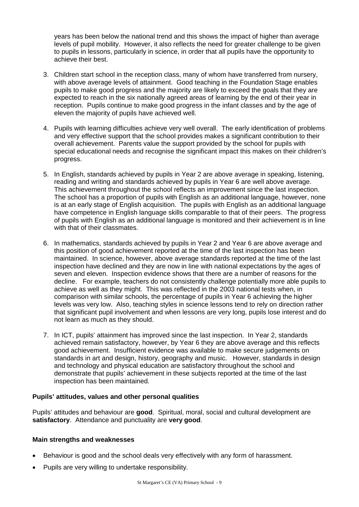years has been below the national trend and this shows the impact of higher than average levels of pupil mobility. However, it also reflects the need for greater challenge to be given to pupils in lessons, particularly in science, in order that all pupils have the opportunity to achieve their best.

- 3. Children start school in the reception class, many of whom have transferred from nursery, with above average levels of attainment. Good teaching in the Foundation Stage enables pupils to make good progress and the majority are likely to exceed the goals that they are expected to reach in the six nationally agreed areas of learning by the end of their year in reception. Pupils continue to make good progress in the infant classes and by the age of eleven the majority of pupils have achieved well.
- 4. Pupils with learning difficulties achieve very well overall. The early identification of problems and very effective support that the school provides makes a significant contribution to their overall achievement. Parents value the support provided by the school for pupils with special educational needs and recognise the significant impact this makes on their children's progress.
- 5. In English, standards achieved by pupils in Year 2 are above average in speaking, listening, reading and writing and standards achieved by pupils in Year 6 are well above average. This achievement throughout the school reflects an improvement since the last inspection. The school has a proportion of pupils with English as an additional language, however, none is at an early stage of English acquisition. The pupils with English as an additional language have competence in English language skills comparable to that of their peers. The progress of pupils with English as an additional language is monitored and their achievement is in line with that of their classmates.
- 6. In mathematics, standards achieved by pupils in Year 2 and Year 6 are above average and this position of good achievement reported at the time of the last inspection has been maintained. In science, however, above average standards reported at the time of the last inspection have declined and they are now in line with national expectations by the ages of seven and eleven. Inspection evidence shows that there are a number of reasons for the decline. For example, teachers do not consistently challenge potentially more able pupils to achieve as well as they might. This was reflected in the 2003 national tests when, in comparison with similar schools, the percentage of pupils in Year 6 achieving the higher levels was very low. Also, teaching styles in science lessons tend to rely on direction rather that significant pupil involvement and when lessons are very long, pupils lose interest and do not learn as much as they should.
- 7. In ICT, pupils' attainment has improved since the last inspection. In Year 2, standards achieved remain satisfactory, however, by Year 6 they are above average and this reflects good achievement. Insufficient evidence was available to make secure judgements on standards in art and design, history, geography and music. However, standards in design and technology and physical education are satisfactory throughout the school and demonstrate that pupils' achievement in these subjects reported at the time of the last inspection has been maintained.

# **Pupils' attitudes, values and other personal qualities**

Pupils' attitudes and behaviour are **good**. Spiritual, moral, social and cultural development are **satisfactory**. Attendance and punctuality are **very good**.

- Behaviour is good and the school deals very effectively with any form of harassment.
- Pupils are very willing to undertake responsibility.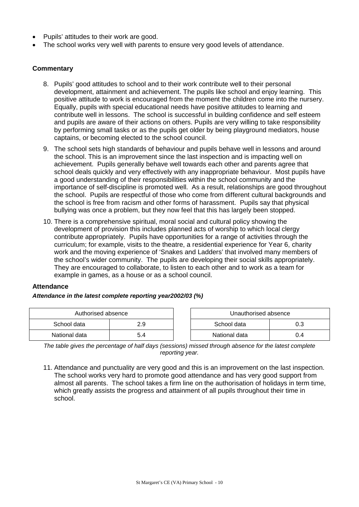- Pupils' attitudes to their work are good.
- The school works very well with parents to ensure very good levels of attendance.

#### **Commentary**

- 8. Pupils' good attitudes to school and to their work contribute well to their personal development, attainment and achievement. The pupils like school and enjoy learning. This positive attitude to work is encouraged from the moment the children come into the nursery. Equally, pupils with special educational needs have positive attitudes to learning and contribute well in lessons. The school is successful in building confidence and self esteem and pupils are aware of their actions on others. Pupils are very willing to take responsibility by performing small tasks or as the pupils get older by being playground mediators, house captains, or becoming elected to the school council.
- 9. The school sets high standards of behaviour and pupils behave well in lessons and around the school. This is an improvement since the last inspection and is impacting well on achievement. Pupils generally behave well towards each other and parents agree that school deals quickly and very effectively with any inappropriate behaviour. Most pupils have a good understanding of their responsibilities within the school community and the importance of self-discipline is promoted well. As a result, relationships are good throughout the school. Pupils are respectful of those who come from different cultural backgrounds and the school is free from racism and other forms of harassment. Pupils say that physical bullying was once a problem, but they now feel that this has largely been stopped.
- 10. There is a comprehensive spiritual, moral social and cultural policy showing the development of provision this includes planned acts of worship to which local clergy contribute appropriately. Pupils have opportunities for a range of activities through the curriculum; for example, visits to the theatre, a residential experience for Year 6, charity work and the moving experience of 'Snakes and Ladders' that involved many members of the school's wider community. The pupils are developing their social skills appropriately. They are encouraged to collaborate, to listen to each other and to work as a team for example in games, as a house or as a school council.

#### **Attendance**

#### *Attendance in the latest complete reporting year2002/03 (%)*

| Authorised absence |     | Unauthorised absence |     |
|--------------------|-----|----------------------|-----|
| School data        | 2.9 | School data          |     |
| National data      | 5.4 | National data        | 0.4 |

*The table gives the percentage of half days (sessions) missed through absence for the latest complete reporting year.*

11. Attendance and punctuality are very good and this is an improvement on the last inspection. The school works very hard to promote good attendance and has very good support from almost all parents. The school takes a firm line on the authorisation of holidays in term time, which greatly assists the progress and attainment of all pupils throughout their time in school.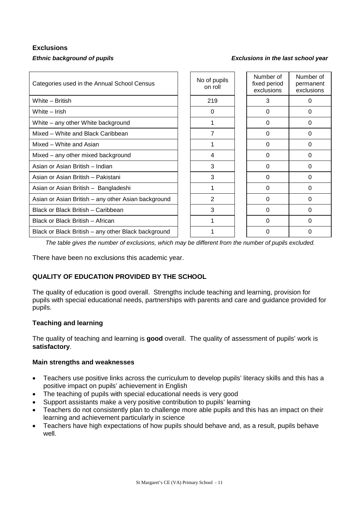# **Exclusions**

#### *Ethnic background of pupils Exclusions in the last school year*

| Categories used in the Annual School Census         | No of pupils<br>on roll | Number of<br>fixed period<br>exclusions | Number of<br>permanent<br>exclusions |
|-----------------------------------------------------|-------------------------|-----------------------------------------|--------------------------------------|
| White - British                                     | 219                     | 3                                       | 0                                    |
| White - Irish                                       | $\Omega$                | $\Omega$                                | $\Omega$                             |
| White – any other White background                  |                         | 0                                       | 0                                    |
| Mixed - White and Black Caribbean                   | 7                       | $\Omega$                                | $\Omega$                             |
| Mixed – White and Asian                             |                         | 0                                       | 0                                    |
| Mixed - any other mixed background                  | 4                       | $\Omega$                                | 0                                    |
| Asian or Asian British - Indian                     | 3                       | $\Omega$                                | $\Omega$                             |
| Asian or Asian British - Pakistani                  | 3                       | 0                                       | 0                                    |
| Asian or Asian British - Bangladeshi                |                         | $\Omega$                                | $\Omega$                             |
| Asian or Asian British - any other Asian background | 2                       | 0                                       | 0                                    |
| Black or Black British - Caribbean                  | 3                       | 0                                       | $\Omega$                             |
| Black or Black British - African                    |                         | O                                       | 0                                    |
| Black or Black British – any other Black background |                         | O                                       | 0                                    |

*The table gives the number of exclusions, which may be different from the number of pupils excluded.*

There have been no exclusions this academic year.

# **QUALITY OF EDUCATION PROVIDED BY THE SCHOOL**

The quality of education is good overall. Strengths include teaching and learning, provision for pupils with special educational needs, partnerships with parents and care and guidance provided for pupils.

# **Teaching and learning**

The quality of teaching and learning is **good** overall. The quality of assessment of pupils' work is **satisfactory**.

- Teachers use positive links across the curriculum to develop pupils' literacy skills and this has a positive impact on pupils' achievement in English
- The teaching of pupils with special educational needs is very good
- Support assistants make a very positive contribution to pupils' learning
- Teachers do not consistently plan to challenge more able pupils and this has an impact on their learning and achievement particularly in science
- Teachers have high expectations of how pupils should behave and, as a result, pupils behave well.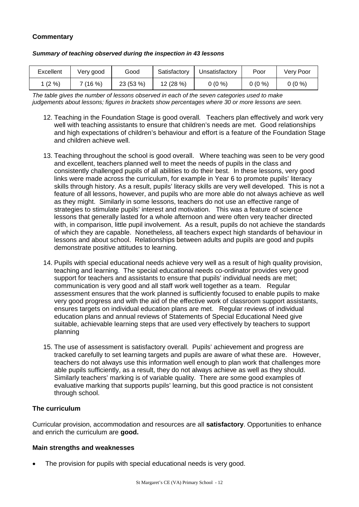# **Commentary**

| Summary of teaching observed during the inspection in 43 lessons |  |  |  |
|------------------------------------------------------------------|--|--|--|
|------------------------------------------------------------------|--|--|--|

| Excellent | Very good | Good      | Satisfactory | Unsatisfactory | Poor     | Verv Poor |
|-----------|-----------|-----------|--------------|----------------|----------|-----------|
| $(2\% )$  | 7 (16 %)  | 23 (53 %) | 12 (28 %)    | 0 (0 %)        | $0(0\%)$ | $0(0\%)$  |

*The table gives the number of lessons observed in each of the seven categories used to make judgements about lessons; figures in brackets show percentages where 30 or more lessons are seen.*

- 12. Teaching in the Foundation Stage is good overall. Teachers plan effectively and work very well with teaching assistants to ensure that children's needs are met. Good relationships and high expectations of children's behaviour and effort is a feature of the Foundation Stage and children achieve well.
- 13. Teaching throughout the school is good overall. Where teaching was seen to be very good and excellent, teachers planned well to meet the needs of pupils in the class and consistently challenged pupils of all abilities to do their best. In these lessons, very good links were made across the curriculum, for example in Year 6 to promote pupils' literacy skills through history. As a result, pupils' literacy skills are very well developed. This is not a feature of all lessons, however, and pupils who are more able do not always achieve as well as they might. Similarly in some lessons, teachers do not use an effective range of strategies to stimulate pupils' interest and motivation. This was a feature of science lessons that generally lasted for a whole afternoon and were often very teacher directed with, in comparison, little pupil involvement. As a result, pupils do not achieve the standards of which they are capable. Nonetheless, all teachers expect high standards of behaviour in lessons and about school. Relationships between adults and pupils are good and pupils demonstrate positive attitudes to learning.
- 14. Pupils with special educational needs achieve very well as a result of high quality provision, teaching and learning. The special educational needs co-ordinator provides very good support for teachers and assistants to ensure that pupils' individual needs are met; communication is very good and all staff work well together as a team. Regular assessment ensures that the work planned is sufficiently focused to enable pupils to make very good progress and with the aid of the effective work of classroom support assistants, ensures targets on individual education plans are met. Regular reviews of individual education plans and annual reviews of Statements of Special Educational Need give suitable, achievable learning steps that are used very effectively by teachers to support planning
- 15. The use of assessment is satisfactory overall. Pupils' achievement and progress are tracked carefully to set learning targets and pupils are aware of what these are. However, teachers do not always use this information well enough to plan work that challenges more able pupils sufficiently, as a result, they do not always achieve as well as they should. Similarly teachers' marking is of variable quality. There are some good examples of evaluative marking that supports pupils' learning, but this good practice is not consistent through school.

# **The curriculum**

Curricular provision, accommodation and resources are all **satisfactory**. Opportunities to enhance and enrich the curriculum are **good.**

#### **Main strengths and weaknesses**

The provision for pupils with special educational needs is very good.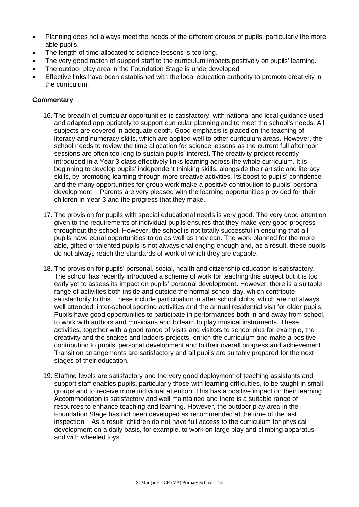- Planning does not always meet the needs of the different groups of pupils, particularly the more able pupils.
- The length of time allocated to science lessons is too long.
- The very good match of support staff to the curriculum impacts positively on pupils' learning.
- The outdoor play area in the Foundation Stage is underdeveloped
- Effective links have been established with the local education authority to promote creativity in the curriculum.

# **Commentary**

- 16. The breadth of curricular opportunities is satisfactory, with national and local guidance used and adapted appropriately to support curricular planning and to meet the school's needs. All subjects are covered in adequate depth. Good emphasis is placed on the teaching of literacy and numeracy skills, which are applied well to other curriculum areas. However, the school needs to review the time allocation for science lessons as the current full afternoon sessions are often too long to sustain pupils' interest. The creativity project recently introduced in a Year 3 class effectively links learning across the whole curriculum. It is beginning to develop pupils' independent thinking skills, alongside their artistic and literacy skills, by promoting learning through more creative activities. Its boost to pupils' confidence and the many opportunities for group work make a positive contribution to pupils' personal development. Parents are very pleased with the learning opportunities provided for their children in Year 3 and the progress that they make.
- 17. The provision for pupils with special educational needs is very good. The very good attention given to the requirements of individual pupils ensures that they make very good progress throughout the school. However, the school is not totally successful in ensuring that all pupils have equal opportunities to do as well as they can. The work planned for the more able, gifted or talented pupils is not always challenging enough and, as a result, these pupils do not always reach the standards of work of which they are capable.
- 18. The provision for pupils' personal, social, health and citizenship education is satisfactory. The school has recently introduced a scheme of work for teaching this subject but it is too early yet to assess its impact on pupils' personal development. However, there is a suitable range of activities both inside and outside the normal school day, which contribute satisfactorily to this. These include participation in after school clubs, which are not always well attended, inter-school sporting activities and the annual residential visit for older pupils. Pupils have good opportunities to participate in performances both in and away from school, to work with authors and musicians and to learn to play musical instruments. These activities, together with a good range of visits and visitors to school plus for example, the creativity and the snakes and ladders projects, enrich the curriculum and make a positive contribution to pupils' personal development and to their overall progress and achievement. Transition arrangements are satisfactory and all pupils are suitably prepared for the next stages of their education.
- 19. Staffing levels are satisfactory and the very good deployment of teaching assistants and support staff enables pupils, particularly those with learning difficulties, to be taught in small groups and to receive more individual attention. This has a positive impact on their learning. Accommodation is satisfactory and well maintained and there is a suitable range of resources to enhance teaching and learning. However, the outdoor play area in the Foundation Stage has not been developed as recommended at the time of the last inspection. As a result, children do not have full access to the curriculum for physical development on a daily basis, for example, to work on large play and climbing apparatus and with wheeled toys.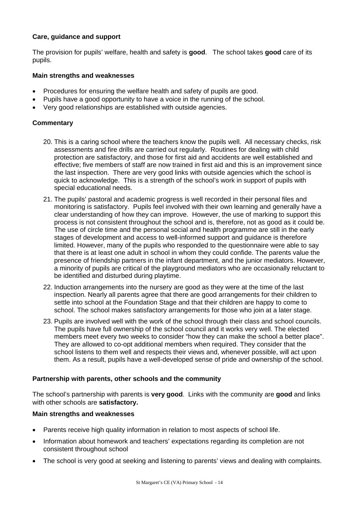# **Care, guidance and support**

The provision for pupils' welfare, health and safety is **good**. The school takes **good** care of its pupils.

#### **Main strengths and weaknesses**

- Procedures for ensuring the welfare health and safety of pupils are good.
- Pupils have a good opportunity to have a voice in the running of the school.
- Very good relationships are established with outside agencies.

# **Commentary**

- 20. This is a caring school where the teachers know the pupils well. All necessary checks, risk assessments and fire drills are carried out regularly. Routines for dealing with child protection are satisfactory, and those for first aid and accidents are well established and effective; five members of staff are now trained in first aid and this is an improvement since the last inspection. There are very good links with outside agencies which the school is quick to acknowledge. This is a strength of the school's work in support of pupils with special educational needs.
- 21. The pupils' pastoral and academic progress is well recorded in their personal files and monitoring is satisfactory. Pupils feel involved with their own learning and generally have a clear understanding of how they can improve. However, the use of marking to support this process is not consistent throughout the school and is, therefore, not as good as it could be. The use of circle time and the personal social and health programme are still in the early stages of development and access to well-informed support and guidance is therefore limited. However, many of the pupils who responded to the questionnaire were able to say that there is at least one adult in school in whom they could confide. The parents value the presence of friendship partners in the infant department, and the junior mediators. However, a minority of pupils are critical of the playground mediators who are occasionally reluctant to be identified and disturbed during playtime.
- 22. Induction arrangements into the nursery are good as they were at the time of the last inspection. Nearly all parents agree that there are good arrangements for their children to settle into school at the Foundation Stage and that their children are happy to come to school. The school makes satisfactory arrangements for those who join at a later stage.
- 23. Pupils are involved well with the work of the school through their class and school councils. The pupils have full ownership of the school council and it works very well. The elected members meet every two weeks to consider "how they can make the school a better place". They are allowed to co-opt additional members when required. They consider that the school listens to them well and respects their views and, whenever possible, will act upon them. As a result, pupils have a well-developed sense of pride and ownership of the school.

# **Partnership with parents, other schools and the community**

The school's partnership with parents is **very good**. Links with the community are **good** and links with other schools are **satisfactory.**

- Parents receive high quality information in relation to most aspects of school life.
- Information about homework and teachers' expectations regarding its completion are not consistent throughout school
- The school is very good at seeking and listening to parents' views and dealing with complaints.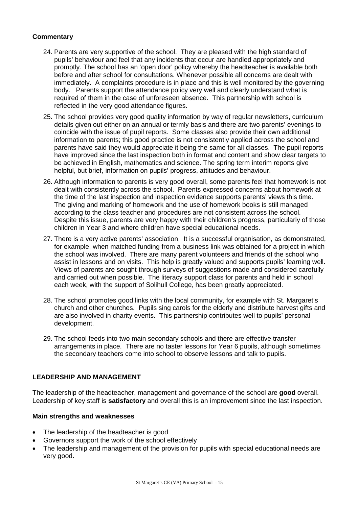# **Commentary**

- 24. Parents are very supportive of the school. They are pleased with the high standard of pupils' behaviour and feel that any incidents that occur are handled appropriately and promptly. The school has an 'open door' policy whereby the headteacher is available both before and after school for consultations. Whenever possible all concerns are dealt with immediately. A complaints procedure is in place and this is well monitored by the governing body. Parents support the attendance policy very well and clearly understand what is required of them in the case of unforeseen absence. This partnership with school is reflected in the very good attendance figures.
- 25. The school provides very good quality information by way of regular newsletters, curriculum details given out either on an annual or termly basis and there are two parents' evenings to coincide with the issue of pupil reports. Some classes also provide their own additional information to parents; this good practice is not consistently applied across the school and parents have said they would appreciate it being the same for all classes. The pupil reports have improved since the last inspection both in format and content and show clear targets to be achieved in English, mathematics and science. The spring term interim reports give helpful, but brief, information on pupils' progress, attitudes and behaviour.
- 26. Although information to parents is very good overall, some parents feel that homework is not dealt with consistently across the school. Parents expressed concerns about homework at the time of the last inspection and inspection evidence supports parents' views this time. The giving and marking of homework and the use of homework books is still managed according to the class teacher and procedures are not consistent across the school. Despite this issue, parents are very happy with their children's progress, particularly of those children in Year 3 and where children have special educational needs.
- 27. There is a very active parents' association. It is a successful organisation, as demonstrated, for example, when matched funding from a business link was obtained for a project in which the school was involved. There are many parent volunteers and friends of the school who assist in lessons and on visits. This help is greatly valued and supports pupils' learning well. Views of parents are sought through surveys of suggestions made and considered carefully and carried out when possible. The literacy support class for parents and held in school each week, with the support of Solihull College, has been greatly appreciated.
- 28. The school promotes good links with the local community, for example with St. Margaret's church and other churches. Pupils sing carols for the elderly and distribute harvest gifts and are also involved in charity events. This partnership contributes well to pupils' personal development.
- 29. The school feeds into two main secondary schools and there are effective transfer arrangements in place. There are no taster lessons for Year 6 pupils, although sometimes the secondary teachers come into school to observe lessons and talk to pupils.

# **LEADERSHIP AND MANAGEMENT**

The leadership of the headteacher, management and governance of the school are **good** overall. Leadership of key staff is **satisfactory** and overall this is an improvement since the last inspection.

- The leadership of the headteacher is good
- Governors support the work of the school effectively
- The leadership and management of the provision for pupils with special educational needs are very good.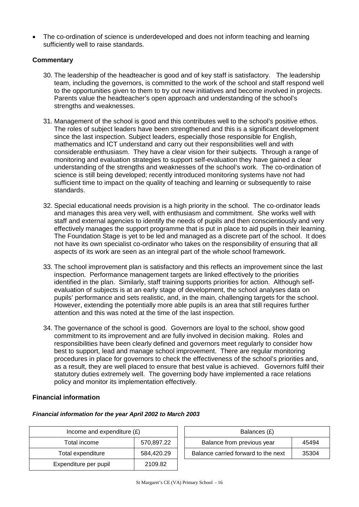The co-ordination of science is underdeveloped and does not inform teaching and learning sufficiently well to raise standards.

# **Commentary**

- 30. The leadership of the headteacher is good and of key staff is satisfactory. The leadership team, including the governors, is committed to the work of the school and staff respond well to the opportunities given to them to try out new initiatives and become involved in projects. Parents value the headteacher's open approach and understanding of the school's strengths and weaknesses.
- 31. Management of the school is good and this contributes well to the school's positive ethos. The roles of subject leaders have been strengthened and this is a significant development since the last inspection. Subject leaders, especially those responsible for English, mathematics and ICT understand and carry out their responsibilities well and with considerable enthusiasm. They have a clear vision for their subjects. Through a range of monitoring and evaluation strategies to support self-evaluation they have gained a clear understanding of the strengths and weaknesses of the school's work. The co-ordination of science is still being developed; recently introduced monitoring systems have not had sufficient time to impact on the quality of teaching and learning or subsequently to raise standards.
- 32. Special educational needs provision is a high priority in the school. The co-ordinator leads and manages this area very well, with enthusiasm and commitment. She works well with staff and external agencies to identify the needs of pupils and then conscientiously and very effectively manages the support programme that is put in place to aid pupils in their learning. The Foundation Stage is yet to be led and managed as a discrete part of the school. It does not have its own specialist co-ordinator who takes on the responsibility of ensuring that all aspects of its work are seen as an integral part of the whole school framework.
- 33. The school improvement plan is satisfactory and this reflects an improvement since the last inspection. Performance management targets are linked effectively to the priorities identified in the plan. Similarly, staff training supports priorities for action. Although selfevaluation of subjects is at an early stage of development, the school analyses data on pupils' performance and sets realistic, and, in the main, challenging targets for the school. However, extending the potentially more able pupils is an area that still requires further attention and this was noted at the time of the last inspection.
- 34. The governance of the school is good. Governors are loyal to the school, show good commitment to its improvement and are fully involved in decision making. Roles and responsibilities have been clearly defined and governors meet regularly to consider how best to support, lead and manage school improvement. There are regular monitoring procedures in place for governors to check the effectiveness of the school's priorities and, as a result, they are well placed to ensure that best value is achieved. Governors fulfil their statutory duties extremely well. The governing body have implemented a race relations policy and monitor its implementation effectively.

# **Financial information**

# *Financial information for the year April 2002 to March 2003*

| Income and expenditure $(E)$ |            |  | Balances (£)                        |       |
|------------------------------|------------|--|-------------------------------------|-------|
| Total income                 | 570,897.22 |  | Balance from previous year          | 45494 |
| Total expenditure            | 584,420.29 |  | Balance carried forward to the next | 35304 |
| Expenditure per pupil        | 2109.82    |  |                                     |       |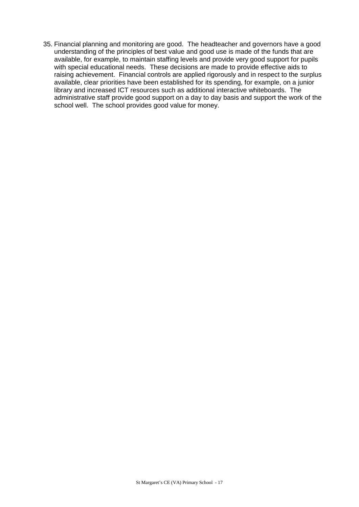35. Financial planning and monitoring are good. The headteacher and governors have a good understanding of the principles of best value and good use is made of the funds that are available, for example, to maintain staffing levels and provide very good support for pupils with special educational needs. These decisions are made to provide effective aids to raising achievement. Financial controls are applied rigorously and in respect to the surplus available, clear priorities have been established for its spending, for example, on a junior library and increased ICT resources such as additional interactive whiteboards. The administrative staff provide good support on a day to day basis and support the work of the school well. The school provides good value for money.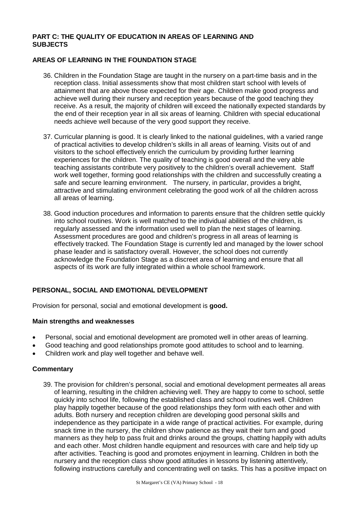# **PART C: THE QUALITY OF EDUCATION IN AREAS OF LEARNING AND SUBJECTS**

# **AREAS OF LEARNING IN THE FOUNDATION STAGE**

- 36. Children in the Foundation Stage are taught in the nursery on a part-time basis and in the reception class. Initial assessments show that most children start school with levels of attainment that are above those expected for their age. Children make good progress and achieve well during their nursery and reception years because of the good teaching they receive. As a result, the majority of children will exceed the nationally expected standards by the end of their reception year in all six areas of learning. Children with special educational needs achieve well because of the very good support they receive.
- 37. Curricular planning is good. It is clearly linked to the national guidelines, with a varied range of practical activities to develop children's skills in all areas of learning. Visits out of and visitors to the school effectively enrich the curriculum by providing further learning experiences for the children. The quality of teaching is good overall and the very able teaching assistants contribute very positively to the children's overall achievement. Staff work well together, forming good relationships with the children and successfully creating a safe and secure learning environment. The nursery, in particular, provides a bright, attractive and stimulating environment celebrating the good work of all the children across all areas of learning.
- 38. Good induction procedures and information to parents ensure that the children settle quickly into school routines. Work is well matched to the individual abilities of the children, is regularly assessed and the information used well to plan the next stages of learning. Assessment procedures are good and children's progress in all areas of learning is effectively tracked. The Foundation Stage is currently led and managed by the lower school phase leader and is satisfactory overall. However, the school does not currently acknowledge the Foundation Stage as a discreet area of learning and ensure that all aspects of its work are fully integrated within a whole school framework.

# **PERSONAL, SOCIAL AND EMOTIONAL DEVELOPMENT**

Provision for personal, social and emotional development is **good.** 

# **Main strengths and weaknesses**

- Personal, social and emotional development are promoted well in other areas of learning.
- Good teaching and good relationships promote good attitudes to school and to learning.
- Children work and play well together and behave well.

# **Commentary**

39. The provision for children's personal, social and emotional development permeates all areas of learning, resulting in the children achieving well. They are happy to come to school, settle quickly into school life, following the established class and school routines well. Children play happily together because of the good relationships they form with each other and with adults. Both nursery and reception children are developing good personal skills and independence as they participate in a wide range of practical activities. For example, during snack time in the nursery, the children show patience as they wait their turn and good manners as they help to pass fruit and drinks around the groups, chatting happily with adults and each other. Most children handle equipment and resources with care and help tidy up after activities. Teaching is good and promotes enjoyment in learning. Children in both the nursery and the reception class show good attitudes in lessons by listening attentively, following instructions carefully and concentrating well on tasks. This has a positive impact on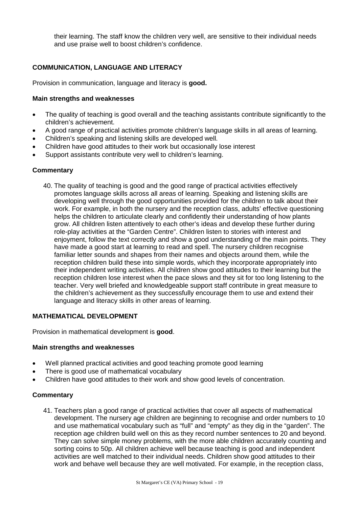their learning. The staff know the children very well, are sensitive to their individual needs and use praise well to boost children's confidence.

# **COMMUNICATION, LANGUAGE AND LITERACY**

Provision in communication, language and literacy is **good.**

#### **Main strengths and weaknesses**

- The quality of teaching is good overall and the teaching assistants contribute significantly to the children's achievement.
- A good range of practical activities promote children's language skills in all areas of learning.
- Children's speaking and listening skills are developed well.
- Children have good attitudes to their work but occasionally lose interest
- Support assistants contribute very well to children's learning.

#### **Commentary**

40. The quality of teaching is good and the good range of practical activities effectively promotes language skills across all areas of learning. Speaking and listening skills are developing well through the good opportunities provided for the children to talk about their work. For example, in both the nursery and the reception class, adults' effective questioning helps the children to articulate clearly and confidently their understanding of how plants grow. All children listen attentively to each other's ideas and develop these further during role-play activities at the "Garden Centre". Children listen to stories with interest and enjoyment, follow the text correctly and show a good understanding of the main points. They have made a good start at learning to read and spell. The nursery children recognise familiar letter sounds and shapes from their names and objects around them, while the reception children build these into simple words, which they incorporate appropriately into their independent writing activities. All children show good attitudes to their learning but the reception children lose interest when the pace slows and they sit for too long listening to the teacher. Very well briefed and knowledgeable support staff contribute in great measure to the children's achievement as they successfully encourage them to use and extend their language and literacy skills in other areas of learning.

# **MATHEMATICAL DEVELOPMENT**

Provision in mathematical development is **good**.

#### **Main strengths and weaknesses**

- Well planned practical activities and good teaching promote good learning
- There is good use of mathematical vocabulary
- Children have good attitudes to their work and show good levels of concentration.

# **Commentary**

41. Teachers plan a good range of practical activities that cover all aspects of mathematical development. The nursery age children are beginning to recognise and order numbers to 10 and use mathematical vocabulary such as "full" and "empty" as they dig in the "garden". The reception age children build well on this as they record number sentences to 20 and beyond. They can solve simple money problems, with the more able children accurately counting and sorting coins to 50p. All children achieve well because teaching is good and independent activities are well matched to their individual needs. Children show good attitudes to their work and behave well because they are well motivated. For example, in the reception class,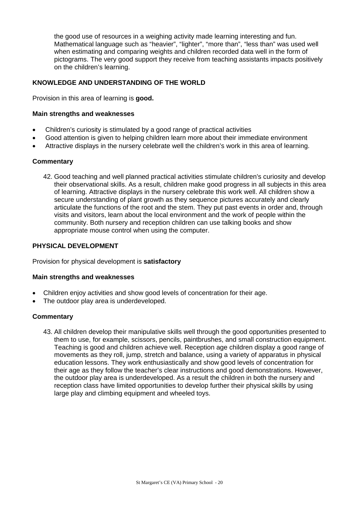the good use of resources in a weighing activity made learning interesting and fun. Mathematical language such as "heavier", "lighter", "more than", "less than" was used well when estimating and comparing weights and children recorded data well in the form of pictograms. The very good support they receive from teaching assistants impacts positively on the children's learning.

# **KNOWLEDGE AND UNDERSTANDING OF THE WORLD**

Provision in this area of learning is **good.**

#### **Main strengths and weaknesses**

- Children's curiosity is stimulated by a good range of practical activities
- Good attention is given to helping children learn more about their immediate environment
- Attractive displays in the nursery celebrate well the children's work in this area of learning.

#### **Commentary**

42. Good teaching and well planned practical activities stimulate children's curiosity and develop their observational skills. As a result, children make good progress in all subjects in this area of learning. Attractive displays in the nursery celebrate this work well. All children show a secure understanding of plant growth as they sequence pictures accurately and clearly articulate the functions of the root and the stem. They put past events in order and, through visits and visitors, learn about the local environment and the work of people within the community. Both nursery and reception children can use talking books and show appropriate mouse control when using the computer.

#### **PHYSICAL DEVELOPMENT**

Provision for physical development is **satisfactory**

#### **Main strengths and weaknesses**

- Children enjoy activities and show good levels of concentration for their age.
- The outdoor play area is underdeveloped.

#### **Commentary**

43. All children develop their manipulative skills well through the good opportunities presented to them to use, for example, scissors, pencils, paintbrushes, and small construction equipment. Teaching is good and children achieve well. Reception age children display a good range of movements as they roll, jump, stretch and balance, using a variety of apparatus in physical education lessons. They work enthusiastically and show good levels of concentration for their age as they follow the teacher's clear instructions and good demonstrations. However, the outdoor play area is underdeveloped. As a result the children in both the nursery and reception class have limited opportunities to develop further their physical skills by using large play and climbing equipment and wheeled toys.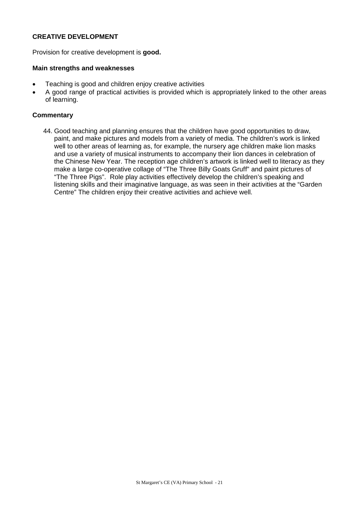# **CREATIVE DEVELOPMENT**

Provision for creative development is **good.**

#### **Main strengths and weaknesses**

- Teaching is good and children enjoy creative activities
- A good range of practical activities is provided which is appropriately linked to the other areas of learning.

# **Commentary**

44. Good teaching and planning ensures that the children have good opportunities to draw, paint, and make pictures and models from a variety of media. The children's work is linked well to other areas of learning as, for example, the nursery age children make lion masks and use a variety of musical instruments to accompany their lion dances in celebration of the Chinese New Year. The reception age children's artwork is linked well to literacy as they make a large co-operative collage of "The Three Billy Goats Gruff" and paint pictures of "The Three Pigs". Role play activities effectively develop the children's speaking and listening skills and their imaginative language, as was seen in their activities at the "Garden Centre" The children enjoy their creative activities and achieve well.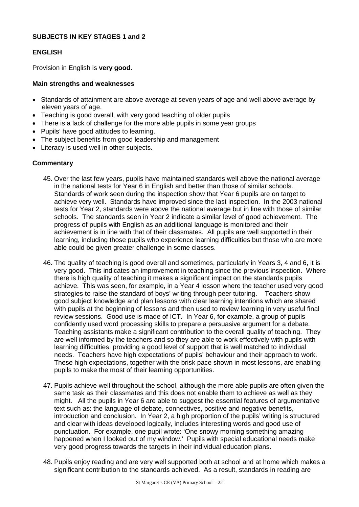# **SUBJECTS IN KEY STAGES 1 and 2**

# **ENGLISH**

Provision in English is **very good.**

#### **Main strengths and weaknesses**

- Standards of attainment are above average at seven years of age and well above average by eleven years of age.
- Teaching is good overall, with very good teaching of older pupils
- There is a lack of challenge for the more able pupils in some year groups
- Pupils' have good attitudes to learning.
- The subject benefits from good leadership and management
- Literacy is used well in other subjects.

#### **Commentary**

- 45. Over the last few years, pupils have maintained standards well above the national average in the national tests for Year 6 in English and better than those of similar schools. Standards of work seen during the inspection show that Year 6 pupils are on target to achieve very well. Standards have improved since the last inspection. In the 2003 national tests for Year 2, standards were above the national average but in line with those of similar schools. The standards seen in Year 2 indicate a similar level of good achievement. The progress of pupils with English as an additional language is monitored and their achievement is in line with that of their classmates. All pupils are well supported in their learning, including those pupils who experience learning difficulties but those who are more able could be given greater challenge in some classes.
- 46. The quality of teaching is good overall and sometimes, particularly in Years 3, 4 and 6, it is very good. This indicates an improvement in teaching since the previous inspection. Where there is high quality of teaching it makes a significant impact on the standards pupils achieve. This was seen, for example, in a Year 4 lesson where the teacher used very good strategies to raise the standard of boys' writing through peer tutoring. Teachers show good subject knowledge and plan lessons with clear learning intentions which are shared with pupils at the beginning of lessons and then used to review learning in very useful final review sessions. Good use is made of ICT. In Year 6, for example, a group of pupils confidently used word processing skills to prepare a persuasive argument for a debate. Teaching assistants make a significant contribution to the overall quality of teaching. They are well informed by the teachers and so they are able to work effectively with pupils with learning difficulties, providing a good level of support that is well matched to individual needs. Teachers have high expectations of pupils' behaviour and their approach to work. These high expectations, together with the brisk pace shown in most lessons, are enabling pupils to make the most of their learning opportunities.
- 47. Pupils achieve well throughout the school, although the more able pupils are often given the same task as their classmates and this does not enable them to achieve as well as they might. All the pupils in Year 6 are able to suggest the essential features of argumentative text such as: the language of debate, connectives, positive and negative benefits, introduction and conclusion. In Year 2, a high proportion of the pupils' writing is structured and clear with ideas developed logically, includes interesting words and good use of punctuation. For example, one pupil wrote: 'One snowy morning something amazing happened when I looked out of my window.' Pupils with special educational needs make very good progress towards the targets in their individual education plans.
- 48. Pupils enjoy reading and are very well supported both at school and at home which makes a significant contribution to the standards achieved. As a result, standards in reading are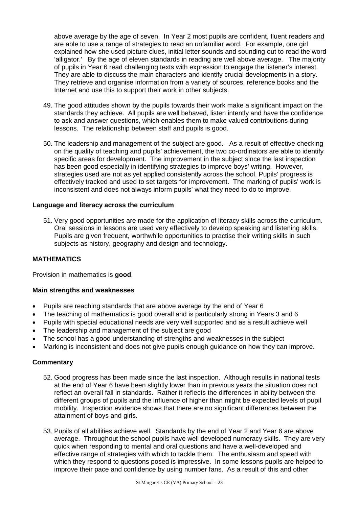above average by the age of seven. In Year 2 most pupils are confident, fluent readers and are able to use a range of strategies to read an unfamiliar word. For example, one girl explained how she used picture clues, initial letter sounds and sounding out to read the word 'alligator.' By the age of eleven standards in reading are well above average. The majority of pupils in Year 6 read challenging texts with expression to engage the listener's interest. They are able to discuss the main characters and identify crucial developments in a story. They retrieve and organise information from a variety of sources, reference books and the Internet and use this to support their work in other subjects.

- 49. The good attitudes shown by the pupils towards their work make a significant impact on the standards they achieve. All pupils are well behaved, listen intently and have the confidence to ask and answer questions, which enables them to make valued contributions during lessons. The relationship between staff and pupils is good.
- 50. The leadership and management of the subject are good. As a result of effective checking on the quality of teaching and pupils' achievement, the two co-ordinators are able to identify specific areas for development. The improvement in the subject since the last inspection has been good especially in identifying strategies to improve boys' writing. However, strategies used are not as yet applied consistently across the school. Pupils' progress is effectively tracked and used to set targets for improvement. The marking of pupils' work is inconsistent and does not always inform pupils' what they need to do to improve.

#### **Language and literacy across the curriculum**

51. Very good opportunities are made for the application of literacy skills across the curriculum. Oral sessions in lessons are used very effectively to develop speaking and listening skills. Pupils are given frequent, worthwhile opportunities to practise their writing skills in such subjects as history, geography and design and technology.

#### **MATHEMATICS**

Provision in mathematics is **good**.

#### **Main strengths and weaknesses**

- Pupils are reaching standards that are above average by the end of Year 6
- The teaching of mathematics is good overall and is particularly strong in Years 3 and 6
- Pupils with special educational needs are very well supported and as a result achieve well
- The leadership and management of the subject are good
- The school has a good understanding of strengths and weaknesses in the subject
- Marking is inconsistent and does not give pupils enough guidance on how they can improve.

#### **Commentary**

- 52. Good progress has been made since the last inspection. Although results in national tests at the end of Year 6 have been slightly lower than in previous years the situation does not reflect an overall fall in standards. Rather it reflects the differences in ability between the different groups of pupils and the influence of higher than might be expected levels of pupil mobility. Inspection evidence shows that there are no significant differences between the attainment of boys and girls.
- 53. Pupils of all abilities achieve well. Standards by the end of Year 2 and Year 6 are above average. Throughout the school pupils have well developed numeracy skills. They are very quick when responding to mental and oral questions and have a well-developed and effective range of strategies with which to tackle them. The enthusiasm and speed with which they respond to questions posed is impressive. In some lessons pupils are helped to improve their pace and confidence by using number fans. As a result of this and other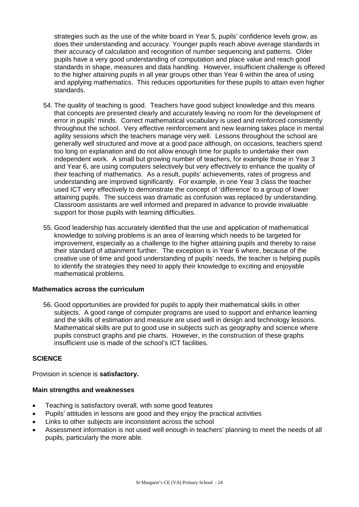strategies such as the use of the white board in Year 5, pupils' confidence levels grow, as does their understanding and accuracy. Younger pupils reach above average standards in their accuracy of calculation and recognition of number sequencing and patterns. Older pupils have a very good understanding of computation and place value and reach good standards in shape, measures and data handling. However, insufficient challenge is offered to the higher attaining pupils in all year groups other than Year 6 within the area of using and applying mathematics. This reduces opportunities for these pupils to attain even higher standards.

- 54. The quality of teaching is good. Teachers have good subject knowledge and this means that concepts are presented clearly and accurately leaving no room for the development of error in pupils' minds. Correct mathematical vocabulary is used and reinforced consistently throughout the school. Very effective reinforcement and new learning takes place in mental agility sessions which the teachers manage very well. Lessons throughout the school are generally well structured and move at a good pace although, on occasions, teachers spend too long on explanation and do not allow enough time for pupils to undertake their own independent work. A small but growing number of teachers, for example those in Year 3 and Year 6, are using computers selectively but very effectively to enhance the quality of their teaching of mathematics. As a result, pupils' achievements, rates of progress and understanding are improved significantly. For example, in one Year 3 class the teacher used ICT very effectively to demonstrate the concept of 'difference' to a group of lower attaining pupils. The success was dramatic as confusion was replaced by understanding. Classroom assistants are well informed and prepared in advance to provide invaluable support for those pupils with learning difficulties.
- 55. Good leadership has accurately identified that the use and application of mathematical knowledge to solving problems is an area of learning which needs to be targeted for improvement, especially as a challenge to the higher attaining pupils and thereby to raise their standard of attainment further. The exception is in Year 6 where, because of the creative use of time and good understanding of pupils' needs, the teacher is helping pupils to identify the strategies they need to apply their knowledge to exciting and enjoyable mathematical problems.

#### **Mathematics across the curriculum**

56. Good opportunities are provided for pupils to apply their mathematical skills in other subjects. A good range of computer programs are used to support and enhance learning and the skills of estimation and measure are used well in design and technology lessons. Mathematical skills are put to good use in subjects such as geography and science where pupils construct graphs and pie charts. However, in the construction of these graphs insufficient use is made of the school's ICT facilities.

# **SCIENCE**

Provision in science is **satisfactory.** 

- Teaching is satisfactory overall, with some good features
- Pupils' attitudes in lessons are good and they enjoy the practical activities
- Links to other subjects are inconsistent across the school
- Assessment information is not used well enough in teachers' planning to meet the needs of all pupils, particularly the more able.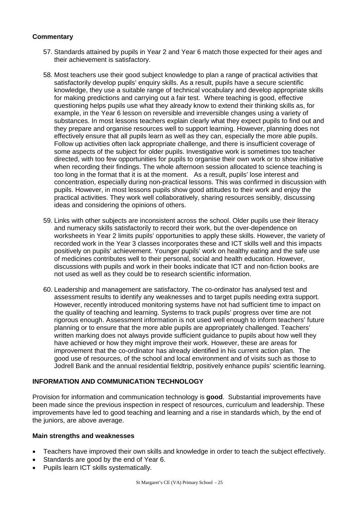# **Commentary**

- 57. Standards attained by pupils in Year 2 and Year 6 match those expected for their ages and their achievement is satisfactory.
- 58. Most teachers use their good subject knowledge to plan a range of practical activities that satisfactorily develop pupils' enquiry skills. As a result, pupils have a secure scientific knowledge, they use a suitable range of technical vocabulary and develop appropriate skills for making predictions and carrying out a fair test. Where teaching is good, effective questioning helps pupils use what they already know to extend their thinking skills as, for example, in the Year 6 lesson on reversible and irreversible changes using a variety of substances. In most lessons teachers explain clearly what they expect pupils to find out and they prepare and organise resources well to support learning. However, planning does not effectively ensure that all pupils learn as well as they can, especially the more able pupils. Follow up activities often lack appropriate challenge, and there is insufficient coverage of some aspects of the subject for older pupils. Investigative work is sometimes too teacher directed, with too few opportunities for pupils to organise their own work or to show initiative when recording their findings. The whole afternoon session allocated to science teaching is too long in the format that it is at the moment. As a result, pupils' lose interest and concentration, especially during non-practical lessons. This was confirmed in discussion with pupils. However, in most lessons pupils show good attitudes to their work and enjoy the practical activities. They work well collaboratively, sharing resources sensibly, discussing ideas and considering the opinions of others.
- 59. Links with other subjects are inconsistent across the school. Older pupils use their literacy and numeracy skills satisfactorily to record their work, but the over-dependence on worksheets in Year 2 limits pupils' opportunities to apply these skills. However, the variety of recorded work in the Year 3 classes incorporates these and ICT skills well and this impacts positively on pupils' achievement. Younger pupils' work on healthy eating and the safe use of medicines contributes well to their personal, social and health education. However, discussions with pupils and work in their books indicate that ICT and non-fiction books are not used as well as they could be to research scientific information.
- 60. Leadership and management are satisfactory. The co-ordinator has analysed test and assessment results to identify any weaknesses and to target pupils needing extra support. However, recently introduced monitoring systems have not had sufficient time to impact on the quality of teaching and learning. Systems to track pupils' progress over time are not rigorous enough. Assessment information is not used well enough to inform teachers' future planning or to ensure that the more able pupils are appropriately challenged. Teachers' written marking does not always provide sufficient guidance to pupils about how well they have achieved or how they might improve their work. However, these are areas for improvement that the co-ordinator has already identified in his current action plan. The good use of resources, of the school and local environment and of visits such as those to Jodrell Bank and the annual residential fieldtrip, positively enhance pupils' scientific learning.

# **INFORMATION AND COMMUNICATION TECHNOLOGY**

Provision for information and communication technology is **good**. Substantial improvements have been made since the previous inspection in respect of resources, curriculum and leadership. These improvements have led to good teaching and learning and a rise in standards which, by the end of the juniors, are above average.

- Teachers have improved their own skills and knowledge in order to teach the subject effectively.
- Standards are good by the end of Year 6.
- Pupils learn ICT skills systematically.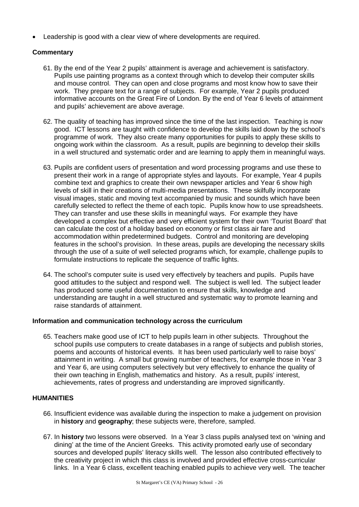Leadership is good with a clear view of where developments are required.

# **Commentary**

- 61. By the end of the Year 2 pupils' attainment is average and achievement is satisfactory. Pupils use painting programs as a context through which to develop their computer skills and mouse control. They can open and close programs and most know how to save their work. They prepare text for a range of subjects. For example, Year 2 pupils produced informative accounts on the Great Fire of London. By the end of Year 6 levels of attainment and pupils' achievement are above average.
- 62. The quality of teaching has improved since the time of the last inspection. Teaching is now good. ICT lessons are taught with confidence to develop the skills laid down by the school's programme of work. They also create many opportunities for pupils to apply these skills to ongoing work within the classroom. As a result, pupils are beginning to develop their skills in a well structured and systematic order and are learning to apply them in meaningful ways.
- 63. Pupils are confident users of presentation and word processing programs and use these to present their work in a range of appropriate styles and layouts. For example, Year 4 pupils combine text and graphics to create their own newspaper articles and Year 6 show high levels of skill in their creations of multi-media presentations. These skilfully incorporate visual images, static and moving text accompanied by music and sounds which have been carefully selected to reflect the theme of each topic. Pupils know how to use spreadsheets. They can transfer and use these skills in meaningful ways. For example they have developed a complex but effective and very efficient system for their own 'Tourist Board' that can calculate the cost of a holiday based on economy or first class air fare and accommodation within predetermined budgets. Control and monitoring are developing features in the school's provision. In these areas, pupils are developing the necessary skills through the use of a suite of well selected programs which, for example, challenge pupils to formulate instructions to replicate the sequence of traffic lights.
- 64. The school's computer suite is used very effectively by teachers and pupils. Pupils have good attitudes to the subject and respond well. The subject is well led. The subject leader has produced some useful documentation to ensure that skills, knowledge and understanding are taught in a well structured and systematic way to promote learning and raise standards of attainment.

# **Information and communication technology across the curriculum**

65. Teachers make good use of ICT to help pupils learn in other subjects. Throughout the school pupils use computers to create databases in a range of subjects and publish stories, poems and accounts of historical events. It has been used particularly well to raise boys' attainment in writing. A small but growing number of teachers, for example those in Year 3 and Year 6, are using computers selectively but very effectively to enhance the quality of their own teaching in English, mathematics and history. As a result, pupils' interest, achievements, rates of progress and understanding are improved significantly.

# **HUMANITIES**

- 66. Insufficient evidence was available during the inspection to make a judgement on provision in **history** and **geography**; these subjects were, therefore, sampled.
- 67. In **history** two lessons were observed. In a Year 3 class pupils analysed text on 'wining and dining' at the time of the Ancient Greeks. This activity promoted early use of secondary sources and developed pupils' literacy skills well. The lesson also contributed effectively to the creativity project in which this class is involved and provided effective cross-curricular links. In a Year 6 class, excellent teaching enabled pupils to achieve very well. The teacher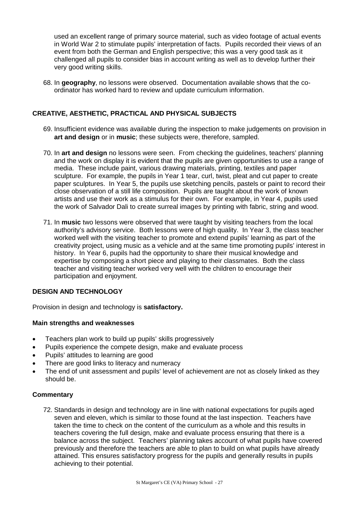used an excellent range of primary source material, such as video footage of actual events in World War 2 to stimulate pupils' interpretation of facts. Pupils recorded their views of an event from both the German and English perspective; this was a very good task as it challenged all pupils to consider bias in account writing as well as to develop further their very good writing skills.

68. In **geography**, no lessons were observed. Documentation available shows that the coordinator has worked hard to review and update curriculum information.

# **CREATIVE, AESTHETIC, PRACTICAL AND PHYSICAL SUBJECTS**

- 69. Insufficient evidence was available during the inspection to make judgements on provision in **art and design** or in **music**; these subjects were, therefore, sampled.
- 70. In **art and design** no lessons were seen. From checking the guidelines, teachers' planning and the work on display it is evident that the pupils are given opportunities to use a range of media. These include paint, various drawing materials, printing, textiles and paper sculpture. For example, the pupils in Year 1 tear, curl, twist, pleat and cut paper to create paper sculptures. In Year 5, the pupils use sketching pencils, pastels or paint to record their close observation of a still life composition. Pupils are taught about the work of known artists and use their work as a stimulus for their own. For example, in Year 4, pupils used the work of Salvador Dali to create surreal images by printing with fabric, string and wood.
- 71. In **music** two lessons were observed that were taught by visiting teachers from the local authority's advisory service. Both lessons were of high quality. In Year 3, the class teacher worked well with the visiting teacher to promote and extend pupils' learning as part of the creativity project, using music as a vehicle and at the same time promoting pupils' interest in history. In Year 6, pupils had the opportunity to share their musical knowledge and expertise by composing a short piece and playing to their classmates. Both the class teacher and visiting teacher worked very well with the children to encourage their participation and enjoyment.

# **DESIGN AND TECHNOLOGY**

Provision in design and technology is **satisfactory.**

#### **Main strengths and weaknesses**

- Teachers plan work to build up pupils' skills progressively
- Pupils experience the compete design, make and evaluate process
- Pupils' attitudes to learning are good
- There are good links to literacy and numeracy
- The end of unit assessment and pupils' level of achievement are not as closely linked as they should be.

# **Commentary**

72. Standards in design and technology are in line with national expectations for pupils aged seven and eleven, which is similar to those found at the last inspection. Teachers have taken the time to check on the content of the curriculum as a whole and this results in teachers covering the full design, make and evaluate process ensuring that there is a balance across the subject. Teachers' planning takes account of what pupils have covered previously and therefore the teachers are able to plan to build on what pupils have already attained. This ensures satisfactory progress for the pupils and generally results in pupils achieving to their potential.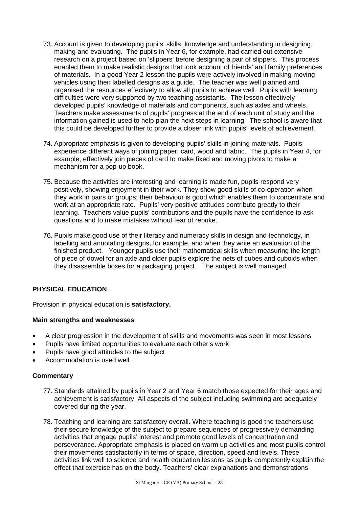- 73. Account is given to developing pupils' skills, knowledge and understanding in designing, making and evaluating. The pupils in Year 6, for example, had carried out extensive research on a project based on 'slippers' before designing a pair of slippers. This process enabled them to make realistic designs that took account of friends' and family preferences of materials. In a good Year 2 lesson the pupils were actively involved in making moving vehicles using their labelled designs as a guide. The teacher was well planned and organised the resources effectively to allow all pupils to achieve well. Pupils with learning difficulties were very supported by two teaching assistants. The lesson effectively developed pupils' knowledge of materials and components, such as axles and wheels. Teachers make assessments of pupils' progress at the end of each unit of study and the information gained is used to help plan the next steps in learning. The school is aware that this could be developed further to provide a closer link with pupils' levels of achievement.
- 74. Appropriate emphasis is given to developing pupils' skills in joining materials. Pupils experience different ways of joining paper, card, wood and fabric. The pupils in Year 4, for example, effectively join pieces of card to make fixed and moving pivots to make a mechanism for a pop-up book.
- 75. Because the activities are interesting and learning is made fun, pupils respond very positively, showing enjoyment in their work. They show good skills of co-operation when they work in pairs or groups; their behaviour is good which enables them to concentrate and work at an appropriate rate. Pupils' very positive attitudes contribute greatly to their learning. Teachers value pupils' contributions and the pupils have the confidence to ask questions and to make mistakes without fear of rebuke.
- 76. Pupils make good use of their literacy and numeracy skills in design and technology, in labelling and annotating designs, for example, and when they write an evaluation of the finished product. Younger pupils use their mathematical skills when measuring the length of piece of dowel for an axle.and older pupils explore the nets of cubes and cuboids when they disassemble boxes for a packaging project. The subject is well managed.

# **PHYSICAL EDUCATION**

Provision in physical education is **satisfactory.**

# **Main strengths and weaknesses**

- A clear progression in the development of skills and movements was seen in most lessons
- Pupils have limited opportunities to evaluate each other's work
- Pupils have good attitudes to the subject
- Accommodation is used well.

# **Commentary**

- 77. Standards attained by pupils in Year 2 and Year 6 match those expected for their ages and achievement is satisfactory. All aspects of the subject including swimming are adequately covered during the year.
- 78. Teaching and learning are satisfactory overall. Where teaching is good the teachers use their secure knowledge of the subject to prepare sequences of progressively demanding activities that engage pupils' interest and promote good levels of concentration and perseverance. Appropriate emphasis is placed on warm up activities and most pupils control their movements satisfactorily in terms of space, direction, speed and levels. These activities link well to science and health education lessons as pupils competently explain the effect that exercise has on the body. Teachers' clear explanations and demonstrations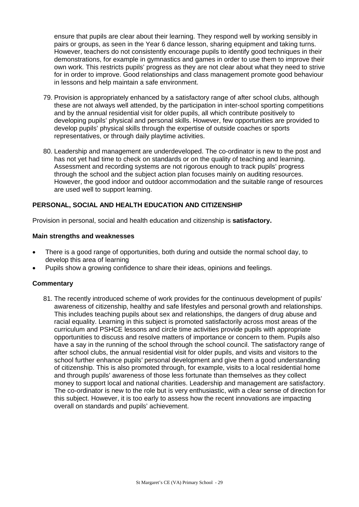ensure that pupils are clear about their learning. They respond well by working sensibly in pairs or groups, as seen in the Year 6 dance lesson, sharing equipment and taking turns. However, teachers do not consistently encourage pupils to identify good techniques in their demonstrations, for example in gymnastics and games in order to use them to improve their own work. This restricts pupils' progress as they are not clear about what they need to strive for in order to improve. Good relationships and class management promote good behaviour in lessons and help maintain a safe environment.

- 79. Provision is appropriately enhanced by a satisfactory range of after school clubs, although these are not always well attended, by the participation in inter-school sporting competitions and by the annual residential visit for older pupils, all which contribute positively to developing pupils' physical and personal skills. However, few opportunities are provided to develop pupils' physical skills through the expertise of outside coaches or sports representatives, or through daily playtime activities.
- 80. Leadership and management are underdeveloped. The co-ordinator is new to the post and has not yet had time to check on standards or on the quality of teaching and learning. Assessment and recording systems are not rigorous enough to track pupils' progress through the school and the subject action plan focuses mainly on auditing resources. However, the good indoor and outdoor accommodation and the suitable range of resources are used well to support learning.

# **PERSONAL, SOCIAL AND HEALTH EDUCATION AND CITIZENSHIP**

Provision in personal, social and health education and citizenship is **satisfactory.**

#### **Main strengths and weaknesses**

- There is a good range of opportunities, both during and outside the normal school day, to develop this area of learning
- Pupils show a growing confidence to share their ideas, opinions and feelings.

# **Commentary**

81. The recently introduced scheme of work provides for the continuous development of pupils' awareness of citizenship, healthy and safe lifestyles and personal growth and relationships. This includes teaching pupils about sex and relationships, the dangers of drug abuse and racial equality. Learning in this subject is promoted satisfactorily across most areas of the curriculum and PSHCE lessons and circle time activities provide pupils with appropriate opportunities to discuss and resolve matters of importance or concern to them. Pupils also have a say in the running of the school through the school council. The satisfactory range of after school clubs, the annual residential visit for older pupils, and visits and visitors to the school further enhance pupils' personal development and give them a good understanding of citizenship. This is also promoted through, for example, visits to a local residential home and through pupils' awareness of those less fortunate than themselves as they collect money to support local and national charities. Leadership and management are satisfactory. The co-ordinator is new to the role but is very enthusiastic, with a clear sense of direction for this subject. However, it is too early to assess how the recent innovations are impacting overall on standards and pupils' achievement.